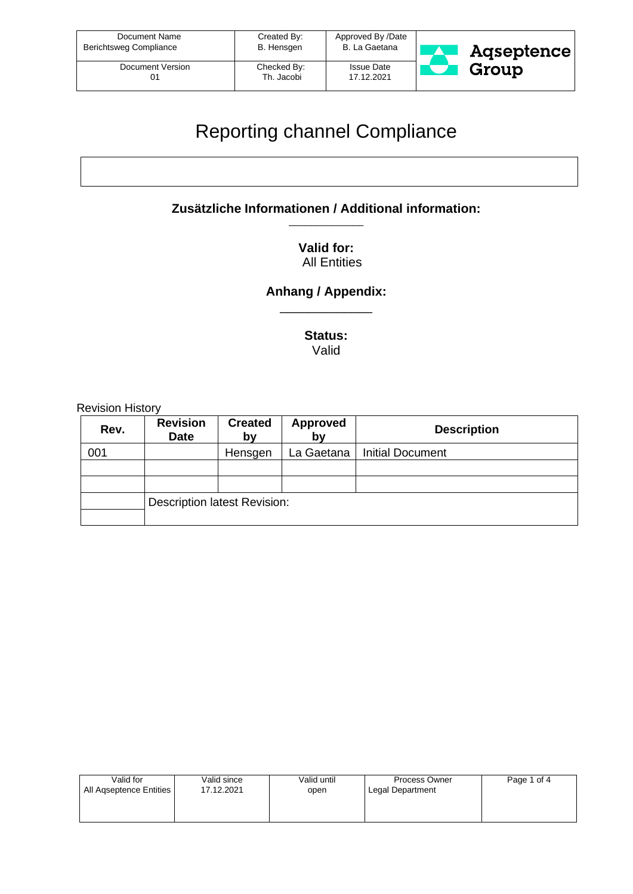| Document Name<br>Berichtsweg Compliance | Created By:<br>B. Hensgen | Approved By /Date<br>B. La Gaetana | Agseptence |
|-----------------------------------------|---------------------------|------------------------------------|------------|
| Document Version                        | Checked By:<br>Th. Jacobi | <b>Issue Date</b><br>17.12.2021    | Group      |

## Reporting channel Compliance

**Zusätzliche Informationen / Additional information:** \_\_\_\_\_\_\_\_\_\_\_\_\_\_

> **Valid for:**  All Entities

**Anhang / Appendix:** \_\_\_\_\_\_\_\_\_\_\_\_\_

> **Status:** Valid

Revision History

| Rev. | <b>Revision</b><br><b>Date</b>      | <b>Created</b><br>by | <b>Approved</b><br>by | <b>Description</b>      |
|------|-------------------------------------|----------------------|-----------------------|-------------------------|
| 001  |                                     | Hensgen              | La Gaetana            | <b>Initial Document</b> |
|      |                                     |                      |                       |                         |
|      |                                     |                      |                       |                         |
|      | <b>Description latest Revision:</b> |                      |                       |                         |
|      |                                     |                      |                       |                         |

| Valid for               | Valid since | Valid until | Process Owner    | Page 1 of 4 |
|-------------------------|-------------|-------------|------------------|-------------|
| All Agseptence Entities | 17.12.2021  | open        | Legal Department |             |
|                         |             |             |                  |             |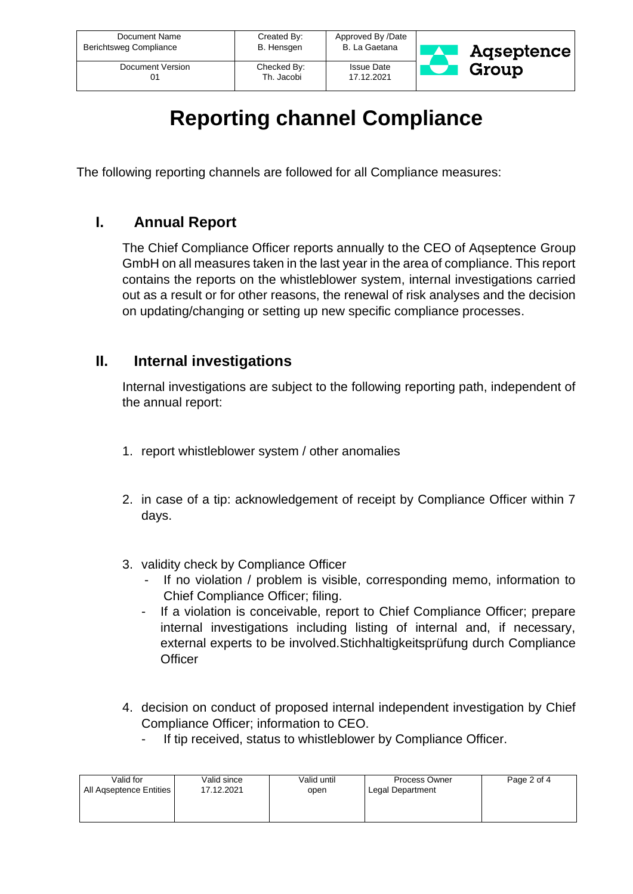| Document Name          | Created By: | Approved By /Date | Aqseptence |
|------------------------|-------------|-------------------|------------|
| Berichtsweg Compliance | B. Hensgen  | B. La Gaetana     |            |
| Document Version       | Checked By: | <b>Issue Date</b> | Group      |
| 01                     | Th. Jacobi  | 17.12.2021        |            |

# **Reporting channel Compliance**

The following reporting channels are followed for all Compliance measures:

### **I. Annual Report**

The Chief Compliance Officer reports annually to the CEO of Aqseptence Group GmbH on all measures taken in the last year in the area of compliance. This report contains the reports on the whistleblower system, internal investigations carried out as a result or for other reasons, the renewal of risk analyses and the decision on updating/changing or setting up new specific compliance processes.

#### **II. Internal investigations**

Internal investigations are subject to the following reporting path, independent of the annual report:

- 1. report whistleblower system / other anomalies
- 2. in case of a tip: acknowledgement of receipt by Compliance Officer within 7 days.
- 3. validity check by Compliance Officer
	- If no violation / problem is visible, corresponding memo, information to Chief Compliance Officer; filing.
	- If a violation is conceivable, report to Chief Compliance Officer; prepare internal investigations including listing of internal and, if necessary, external experts to be involved.Stichhaltigkeitsprüfung durch Compliance **Officer**
- 4. decision on conduct of proposed internal independent investigation by Chief Compliance Officer; information to CEO.
	- If tip received, status to whistleblower by Compliance Officer.

| Valid for               | Valid since | Valid until | Process Owner    | Page 2 of 4 |
|-------------------------|-------------|-------------|------------------|-------------|
| All Agseptence Entities | 17.12.2021  | open        | Legal Department |             |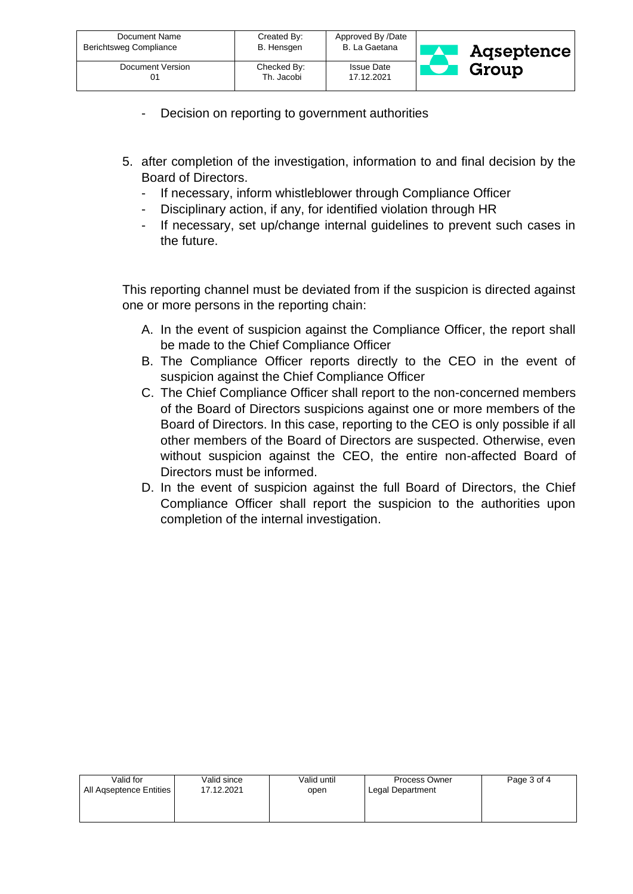| Document Name<br>Berichtsweg Compliance | Created By:<br>B. Hensgen | Approved By /Date<br>B. La Gaetana | Aqseptence |
|-----------------------------------------|---------------------------|------------------------------------|------------|
| Document Version                        | Checked By:<br>Th. Jacobi | <b>Issue Date</b><br>17.12.2021    | Group      |

- Decision on reporting to government authorities
- 5. after completion of the investigation, information to and final decision by the Board of Directors.
	- If necessary, inform whistleblower through Compliance Officer
	- Disciplinary action, if any, for identified violation through HR
	- If necessary, set up/change internal guidelines to prevent such cases in the future.

This reporting channel must be deviated from if the suspicion is directed against one or more persons in the reporting chain:

- A. In the event of suspicion against the Compliance Officer, the report shall be made to the Chief Compliance Officer
- B. The Compliance Officer reports directly to the CEO in the event of suspicion against the Chief Compliance Officer
- C. The Chief Compliance Officer shall report to the non-concerned members of the Board of Directors suspicions against one or more members of the Board of Directors. In this case, reporting to the CEO is only possible if all other members of the Board of Directors are suspected. Otherwise, even without suspicion against the CEO, the entire non-affected Board of Directors must be informed.
- D. In the event of suspicion against the full Board of Directors, the Chief Compliance Officer shall report the suspicion to the authorities upon completion of the internal investigation.

| Valid for               | Valid since | Valid until | <b>Process Owner</b> | Page 3 of 4 |
|-------------------------|-------------|-------------|----------------------|-------------|
| All Agseptence Entities | 17.12.2021  | open        | Legal Department     |             |
|                         |             |             |                      |             |